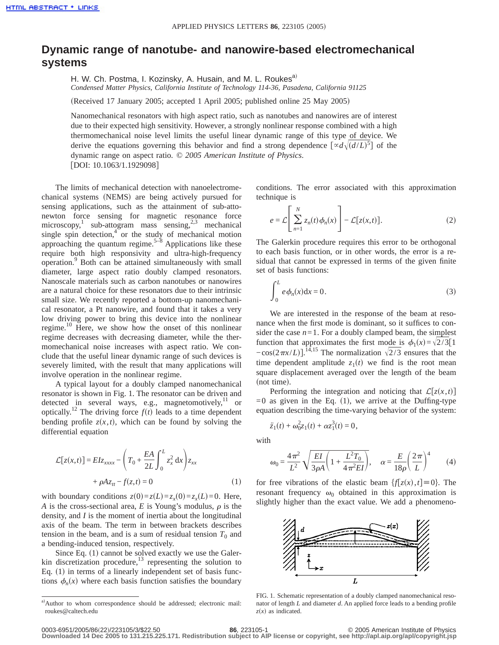## **Dynamic range of nanotube- and nanowire-based electromechanical systems**

H. W. Ch. Postma, I. Kozinsky, A. Husain, and M. L. Roukes<sup>a)</sup> *Condensed Matter Physics, California Institute of Technology 114-36, Pasadena, California 91125*

(Received 17 January 2005; accepted 1 April 2005; published online 25 May 2005)

Nanomechanical resonators with high aspect ratio, such as nanotubes and nanowires are of interest due to their expected high sensitivity. However, a strongly nonlinear response combined with a high thermomechanical noise level limits the useful linear dynamic range of this type of device. We derive the equations governing this behavior and find a strong dependence  $[\alpha d \sqrt{(d/L)^5}]$  of the dynamic range on aspect ratio. © *2005 American Institute of Physics*. [DOI: 10.1063/1.1929098]

The limits of mechanical detection with nanoelectromechanical systems (NEMS) are being actively pursued for sensing applications, such as the attainment of sub-attonewton force sensing for magnetic resonance force microscopy,<sup>1</sup> sub-attogram mass sensing,<sup>2,3</sup> mechanical single spin detection, $4^{\circ}$  or the study of mechanical motion approaching the quantum regime.<sup>5–8</sup> Applications like these require both high responsivity and ultra-high-frequency operation.9 Both can be attained simultaneously with small diameter, large aspect ratio doubly clamped resonators. Nanoscale materials such as carbon nanotubes or nanowires are a natural choice for these resonators due to their intrinsic small size. We recently reported a bottom-up nanomechanical resonator, a Pt nanowire, and found that it takes a very low driving power to bring this device into the nonlinear regime.10 Here, we show how the onset of this nonlinear regime decreases with decreasing diameter, while the thermomechanical noise increases with aspect ratio. We conclude that the useful linear dynamic range of such devices is severely limited, with the result that many applications will involve operation in the nonlinear regime.

A typical layout for a doubly clamped nanomechanical resonator is shown in Fig. 1. The resonator can be driven and detected in several ways, e.g., magnetomotively, $11$  or optically.<sup>12</sup> The driving force  $f(t)$  leads to a time dependent bending profile  $z(x,t)$ , which can be found by solving the differential equation

$$
\mathcal{L}[z(x,t)] = EIz_{xxxx} - \left(T_0 + \frac{EA}{2L} \int_0^L z_x^2 dx\right) z_{xx}
$$

$$
+ \rho Az_{tt} - f(z,t) = 0 \tag{1}
$$

with boundary conditions  $z(0) = z(L) = z_x(0) = z_x(L) = 0$ . Here, *A* is the cross-sectional area, *E* is Young's modulus,  $\rho$  is the density, and *I* is the moment of inertia about the longitudinal axis of the beam. The term in between brackets describes tension in the beam, and is a sum of residual tension  $T_0$  and a bending-induced tension, respectively.

Since Eq.  $(1)$  cannot be solved exactly we use the Galerkin discretization procedure, $^{13}$  representing the solution to Eq.  $(1)$  in terms of a linearly independent set of basis functions  $\phi_n(x)$  where each basis function satisfies the boundary conditions. The error associated with this approximation technique is

$$
e = \mathcal{L}\left[\sum_{n=1}^{N} z_n(t)\phi_n(x)\right] - \mathcal{L}[z(x,t)].
$$
\n(2)

The Galerkin procedure requires this error to be orthogonal to each basis function, or in other words, the error is a residual that cannot be expressed in terms of the given finite set of basis functions:

$$
\int_0^L e \phi_n(x) dx = 0.
$$
 (3)

We are interested in the response of the beam at resonance when the first mode is dominant, so it suffices to consider the case  $n=1$ . For a doubly clamped beam, the simplest function that approximates the first mode is  $\phi_1(x) = \sqrt{2}/3[1]$  $-\cos(2\pi x/L)$ .<sup>14,15</sup> The normalization  $\sqrt{2/3}$  ensures that the time dependent amplitude  $z_1(t)$  we find is the root mean square displacement averaged over the length of the beam  $(not time)$ .

Performing the integration and noticing that  $\mathcal{L}[z(x,t)]$  $=0$  as given in the Eq. (1), we arrive at the Duffing-type equation describing the time-varying behavior of the system:

$$
\ddot{z}_1(t) + \omega_0^2 z_1(t) + \alpha z_1^3(t) = 0,
$$

with

$$
\omega_0 = \frac{4\pi^2}{L^2} \sqrt{\frac{EI}{3\rho A} \left( 1 + \frac{L^2 T_0}{4\pi^2 EI} \right)}, \quad \alpha = \frac{E}{18\rho} \left( \frac{2\pi}{L} \right)^4 \tag{4}
$$

for free vibrations of the elastic beam  $\{f[z(x), t] \equiv 0\}$ . The resonant frequency  $\omega_0$  obtained in this approximation is slightly higher than the exact value. We add a phenomeno-



FIG. 1. Schematic representation of a doubly clamped nanomechanical resonator of length *L* and diameter *d*. An applied force leads to a bending profile  $z(x)$  as indicated.

a)Author to whom correspondence should be addressed; electronic mail: roukes@caltech.edu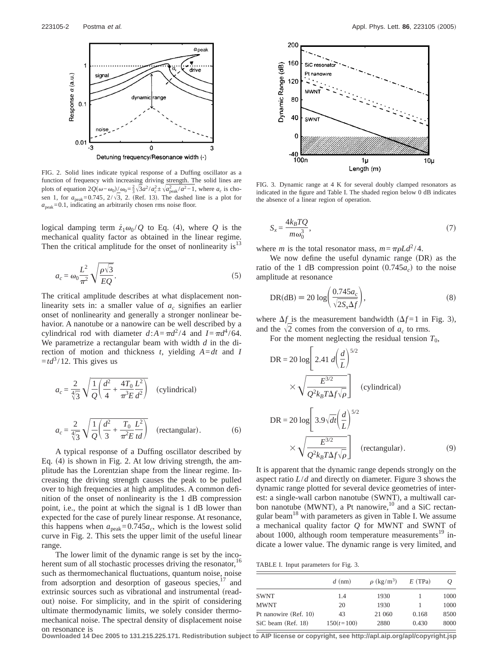

FIG. 2. Solid lines indicate typical response of a Duffing oscillator as a function of frequency with increasing driving strength. The solid lines are plots of equation  $2Q(\omega - \omega_0)/\omega_0 = \frac{2}{3}\sqrt{3}a^2/a_c^2 \pm \sqrt{a_{\text{peak}}^2/a^2 - 1}$ , where  $a_c$  is chosen 1, for  $a_{\text{peak}} = 0.745$ ,  $2/\sqrt{3}$ , 2. (Ref. 13). The dashed line is a plot for  $a_{\text{peak}}$ =0.1, indicating an arbitrarily chosen rms noise floor.

logical damping term  $\dot{z}_1 \omega_0 / Q$  to Eq. (4), where *Q* is the mechanical quality factor as obtained in the linear regime. Then the critical amplitude for the onset of nonlinearity is $13$ 

$$
a_c = \omega_0 \frac{L^2}{\pi^2} \sqrt{\frac{\rho \sqrt{3}}{EQ}}.
$$
 (5)

The critical amplitude describes at what displacement nonlinearity sets in: a smaller value of  $a_c$  signifies an earlier onset of nonlinearity and generally a stronger nonlinear behavior. A nanotube or a nanowire can be well described by a cylindrical rod with diameter  $d:A = \pi d^2/4$  and  $I = \pi d^4/64$ . We parametrize a rectangular beam with width *d* in the direction of motion and thickness *t*, yielding *A*=*dt* and *I*  $=$ *td*<sup>3</sup>/12. This gives us

$$
a_c = \frac{2}{\sqrt[4]{3}} \sqrt{\frac{1}{Q} \left(\frac{d^2}{4} + \frac{4T_0}{\pi^3 E} \frac{L^2}{d^2}\right)}
$$
 (cylindrical)  

$$
a_c = \frac{2}{\sqrt[4]{3}} \sqrt{\frac{1}{Q} \left(\frac{d^2}{3} + \frac{T_0}{\pi^2 E} \frac{L^2}{td}\right)}
$$
 (rectangular). (6)

A typical response of a Duffing oscillator described by Eq.  $(4)$  is shown in Fig. 2. At low driving strength, the amplitude has the Lorentzian shape from the linear regime. Increasing the driving strength causes the peak to be pulled over to high frequencies at high amplitudes. A common definition of the onset of nonlinearity is the 1 dB compression point, i.e., the point at which the signal is 1 dB lower than expected for the case of purely linear response. At resonance, this happens when  $a_{\text{peak}} = 0.745a_c$ , which is the lowest solid curve in Fig. 2. This sets the upper limit of the useful linear range.

The lower limit of the dynamic range is set by the incoherent sum of all stochastic processes driving the resonator,<sup>16</sup> such as thermomechanical fluctuations, quantum noise, noise from adsorption and desorption of gaseous species, $17$  and extrinsic sources such as vibrational and instrumental (readout) noise. For simplicity, and in the spirit of considering ultimate thermodynamic limits, we solely consider thermomechanical noise. The spectral density of displacement noise on resonance is



FIG. 3. Dynamic range at 4 K for several doubly clamped resonators as indicated in the figure and Table I. The shaded region below 0 dB indicates the absence of a linear region of operation.

$$
S_x = \frac{4k_B TQ}{m\omega_0^3},\tag{7}
$$

where *m* is the total resonator mass,  $m = \pi \rho L d^2 / 4$ .

We now define the useful dynamic range  $(DR)$  as the ratio of the 1 dB compression point  $(0.745a_c)$  to the noise amplitude at resonance

$$
DR(dB) = 20 \log \left( \frac{0.745 a_c}{\sqrt{2S_x \Delta f}} \right),\tag{8}
$$

where  $\Delta f$  is the measurement bandwidth ( $\Delta f$ =1 in Fig. 3), and the  $\sqrt{2}$  comes from the conversion of  $a_c$  to rms.

For the moment neglecting the residual tension  $T_0$ ,

$$
DR = 20 \log \left[ 2.41 \frac{d}{L} \right]^{5/2}
$$
  
\n
$$
\times \sqrt{\frac{E^{3/2}}{Q^2 k_B T \Delta f \sqrt{\rho}}} \left[ \frac{cylindrical}{L} \right]
$$
  
\n
$$
DR = 20 \log \left[ 3.9 \sqrt{dt} \left( \frac{d}{L} \right)^{5/2} \right]
$$
  
\n
$$
\times \sqrt{\frac{E^{3/2}}{Q^2 k_B T \Delta f \sqrt{\rho}}} \left[ \frac{cctangular}{L} \right].
$$
 (9)

It is apparent that the dynamic range depends strongly on the aspect ratio *L*/*d* and directly on diameter. Figure 3 shows the dynamic range plotted for several device geometries of interest: a single-wall carbon nanotube (SWNT), a multiwall carbon nanotube (MWNT), a Pt nanowire,<sup>10</sup> and a SiC rectangular beam $18$  with parameters as given in Table I. We assume a mechanical quality factor *Q* for MWNT and SWNT of about 1000, although room temperature measurements $19$  indicate a lower value. The dynamic range is very limited, and

TABLE I. Input parameters for Fig. 3.

| $d$ (nm)     | $\rho$ (kg/m <sup>3</sup> ) | $E$ (TPa) | $\omega$ |
|--------------|-----------------------------|-----------|----------|
| 1.4          | 1930                        |           | 1000     |
| 20           | 1930                        |           | 1000     |
| 43           | 21 060                      | 0.168     | 8500     |
| $150(t=100)$ | 2880                        | 0.430     | 8000     |
|              |                             |           |          |

**Downloaded 14 Dec 2005 to 131.215.225.171. Redistribution subject to AIP license or copyright, see http://apl.aip.org/apl/copyright.jsp**